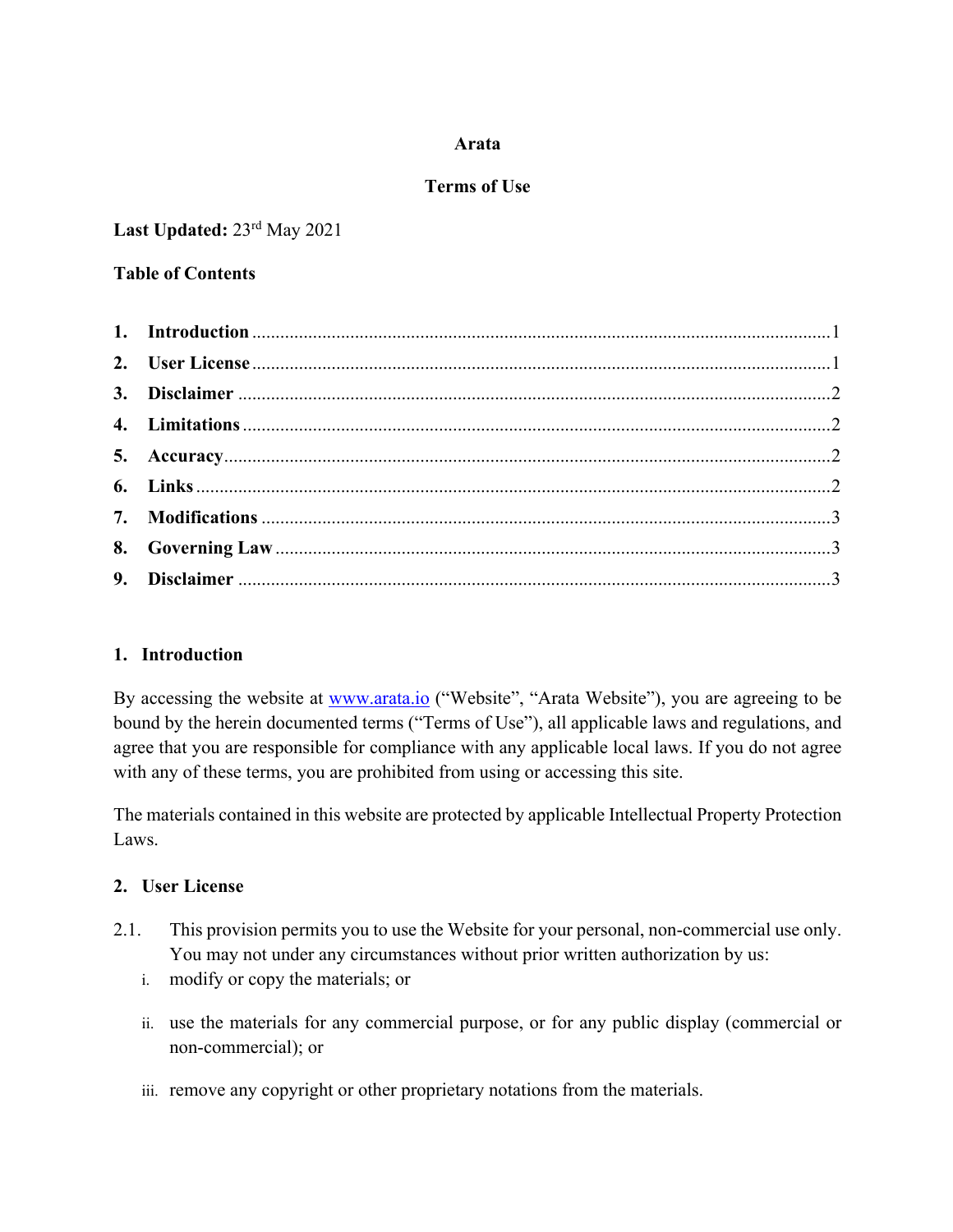# **Arata**

#### **Terms of Use**

**Last Updated:** 23rd May 2021

### **Table of Contents**

# **1. Introduction**

By accessing the website at **www.arata.io** ("Website", "Arata Website"), you are agreeing to be bound by the herein documented terms ("Terms of Use"), all applicable laws and regulations, and agree that you are responsible for compliance with any applicable local laws. If you do not agree with any of these terms, you are prohibited from using or accessing this site.

The materials contained in this website are protected by applicable Intellectual Property Protection Laws.

# **2. User License**

- 2.1. This provision permits you to use the Website for your personal, non-commercial use only. You may not under any circumstances without prior written authorization by us:
	- i. modify or copy the materials; or
	- ii. use the materials for any commercial purpose, or for any public display (commercial or non-commercial); or
	- iii. remove any copyright or other proprietary notations from the materials.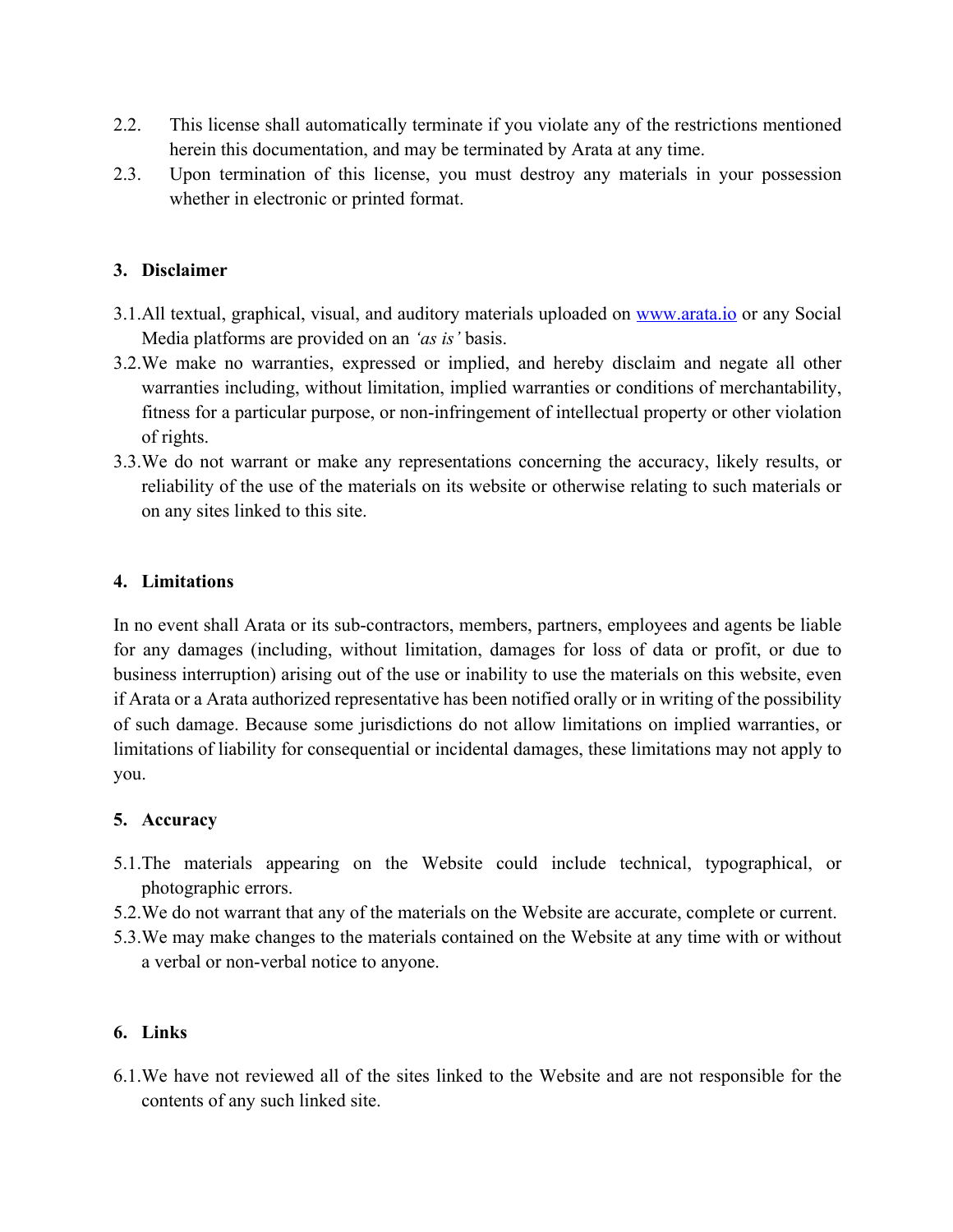- 2.2. This license shall automatically terminate if you violate any of the restrictions mentioned herein this documentation, and may be terminated by Arata at any time.
- 2.3. Upon termination of this license, you must destroy any materials in your possession whether in electronic or printed format.

# **3. Disclaimer**

- 3.1.All textual, graphical, visual, and auditory materials uploaded on www.arata.io or any Social Media platforms are provided on an *'as is'* basis.
- 3.2.We make no warranties, expressed or implied, and hereby disclaim and negate all other warranties including, without limitation, implied warranties or conditions of merchantability, fitness for a particular purpose, or non-infringement of intellectual property or other violation of rights.
- 3.3.We do not warrant or make any representations concerning the accuracy, likely results, or reliability of the use of the materials on its website or otherwise relating to such materials or on any sites linked to this site.

#### **4. Limitations**

In no event shall Arata or its sub-contractors, members, partners, employees and agents be liable for any damages (including, without limitation, damages for loss of data or profit, or due to business interruption) arising out of the use or inability to use the materials on this website, even if Arata or a Arata authorized representative has been notified orally or in writing of the possibility of such damage. Because some jurisdictions do not allow limitations on implied warranties, or limitations of liability for consequential or incidental damages, these limitations may not apply to you.

# **5. Accuracy**

- 5.1.The materials appearing on the Website could include technical, typographical, or photographic errors.
- 5.2.We do not warrant that any of the materials on the Website are accurate, complete or current.
- 5.3.We may make changes to the materials contained on the Website at any time with or without a verbal or non-verbal notice to anyone.

# **6. Links**

6.1.We have not reviewed all of the sites linked to the Website and are not responsible for the contents of any such linked site.